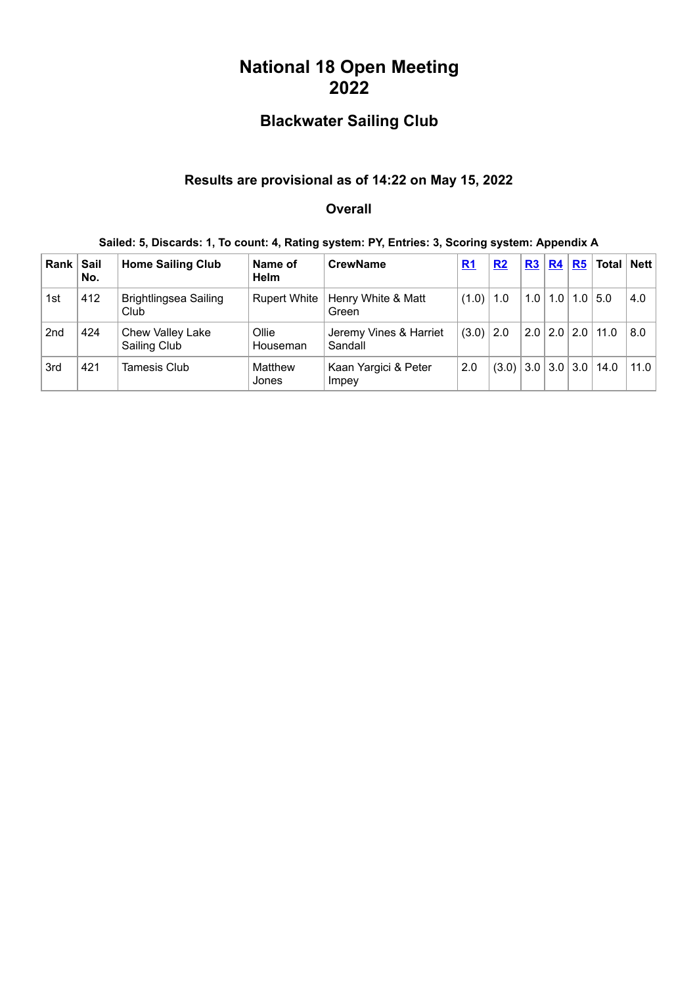# **National 18 Open Meeting 2022**

## **Blackwater Sailing Club**

### **Results are provisional as of 14:22 on May 15, 2022**

#### **Overall**

#### **Sailed: 5, Discards: 1, To count: 4, Rating system: PY, Entries: 3, Scoring system: Appendix A**

| Rank            | Sail<br>No. | <b>Home Sailing Club</b>             | Name of<br><b>Helm</b> | <b>CrewName</b>                   | R <sub>1</sub> | R2    | R3 | R4                      | $R5$ Total Nett              |      |
|-----------------|-------------|--------------------------------------|------------------------|-----------------------------------|----------------|-------|----|-------------------------|------------------------------|------|
| 1st             | 412         | <b>Brightlingsea Sailing</b><br>Club | <b>Rupert White</b>    | Henry White & Matt<br>Green       | (1.0)          | 1.0   |    | $1.0$   1.0   1.0   5.0 |                              | 4.0  |
| 2 <sub>nd</sub> | 424         | Chew Valley Lake<br>Sailing Club     | Ollie<br>Houseman      | Jeremy Vines & Harriet<br>Sandall | (3.0)          | 2.0   |    |                         | $2.0$   $2.0$   $2.0$   11.0 | 8.0  |
| 3rd             | 421         | <b>Tamesis Club</b>                  | Matthew<br>Jones       | Kaan Yargici & Peter<br>Impey     | 2.0            | (3.0) |    |                         | 3.0 3.0 3.0 14.0             | 11.0 |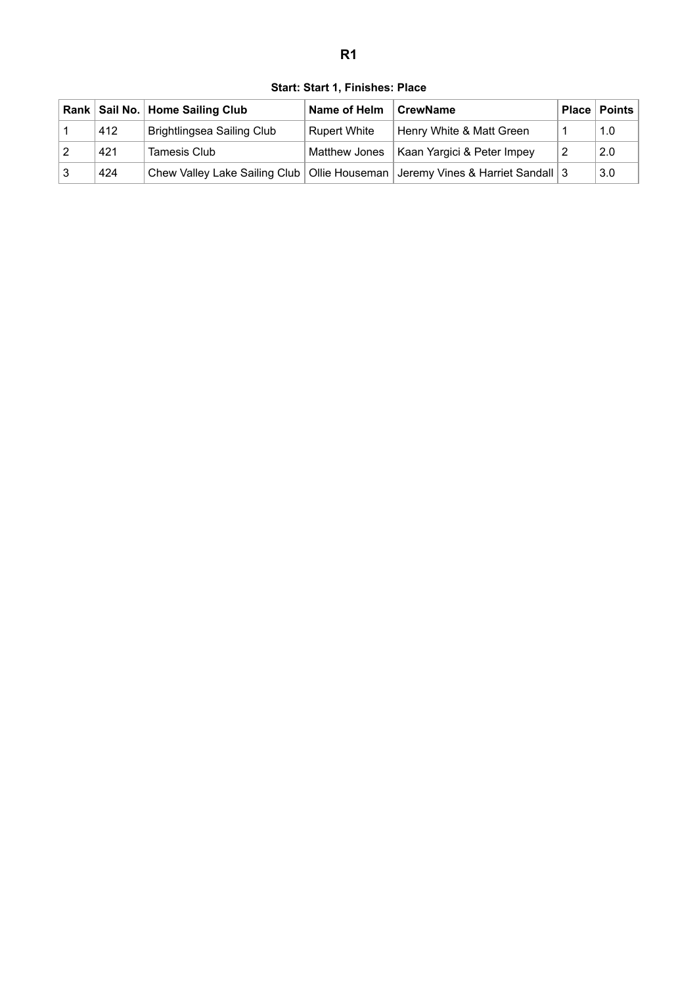<span id="page-1-0"></span>

|     | Rank   Sail No.   Home Sailing Club | Name of Helm        | <b>CrewName</b>                                                                     | Place   Points |
|-----|-------------------------------------|---------------------|-------------------------------------------------------------------------------------|----------------|
| 412 | <b>Brightlingsea Sailing Club</b>   | <b>Rupert White</b> | Henry White & Matt Green                                                            | 1.0            |
| 421 | <b>Tamesis Club</b>                 |                     | Matthew Jones   Kaan Yargici & Peter Impey                                          | 2.0            |
| 424 |                                     |                     | Chew Valley Lake Sailing Club   Ollie Houseman   Jeremy Vines & Harriet Sandall   3 | 3.0            |

**Start: Start 1, Finishes: Place**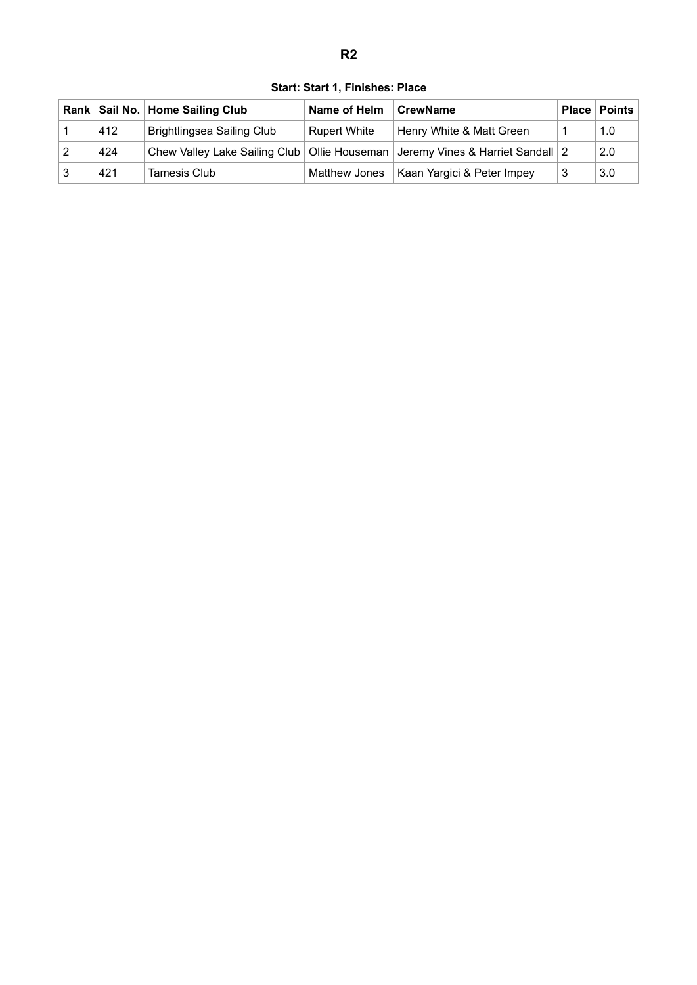<span id="page-2-0"></span>

|     | Rank   Sail No.   Home Sailing Club | Name of Helm        | CrewName                                                                            |    | <b>Place   Points</b> |
|-----|-------------------------------------|---------------------|-------------------------------------------------------------------------------------|----|-----------------------|
| 412 | <b>Brightlingsea Sailing Club</b>   | <b>Rupert White</b> | Henry White & Matt Green                                                            |    | 1.0                   |
| 424 |                                     |                     | Chew Valley Lake Sailing Club   Ollie Houseman   Jeremy Vines & Harriet Sandall   2 |    | 2.0                   |
| 421 | Tamesis Club                        |                     | Matthew Jones   Kaan Yargici & Peter Impey                                          | -3 | 3.0                   |

**Start: Start 1, Finishes: Place**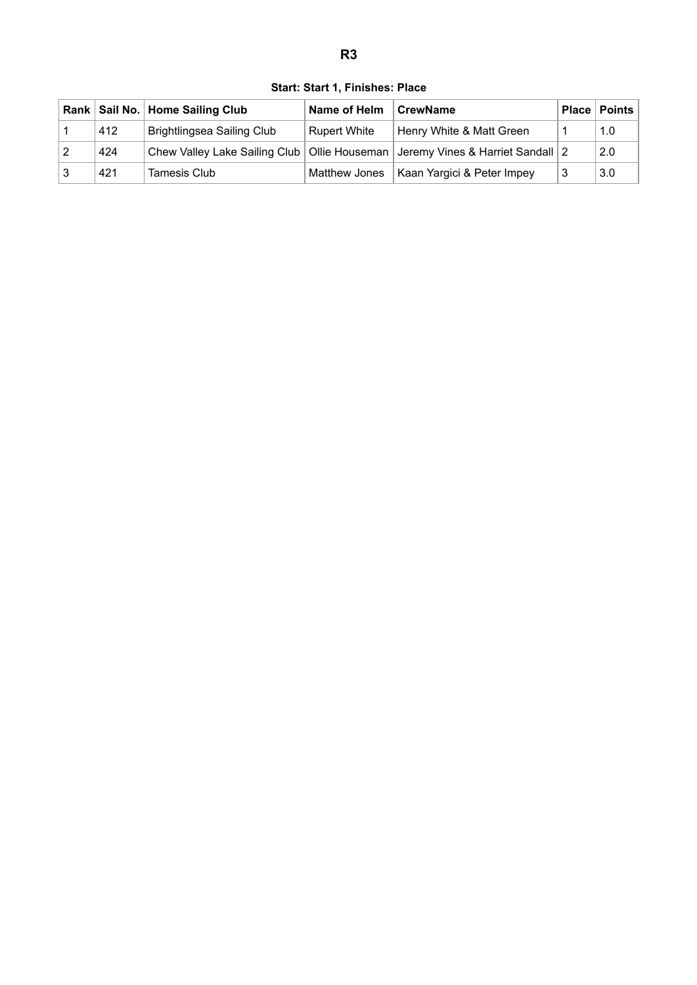<span id="page-3-0"></span>

|     | Rank   Sail No.   Home Sailing Club | Name of Helm        | CrewName                                                                            |    | <b>Place   Points</b> |
|-----|-------------------------------------|---------------------|-------------------------------------------------------------------------------------|----|-----------------------|
| 412 | <b>Brightlingsea Sailing Club</b>   | <b>Rupert White</b> | Henry White & Matt Green                                                            |    | 1.0                   |
| 424 |                                     |                     | Chew Valley Lake Sailing Club   Ollie Houseman   Jeremy Vines & Harriet Sandall   2 |    | 2.0                   |
| 421 | Tamesis Club                        |                     | Matthew Jones   Kaan Yargici & Peter Impey                                          | -3 | 3.0                   |

**Start: Start 1, Finishes: Place**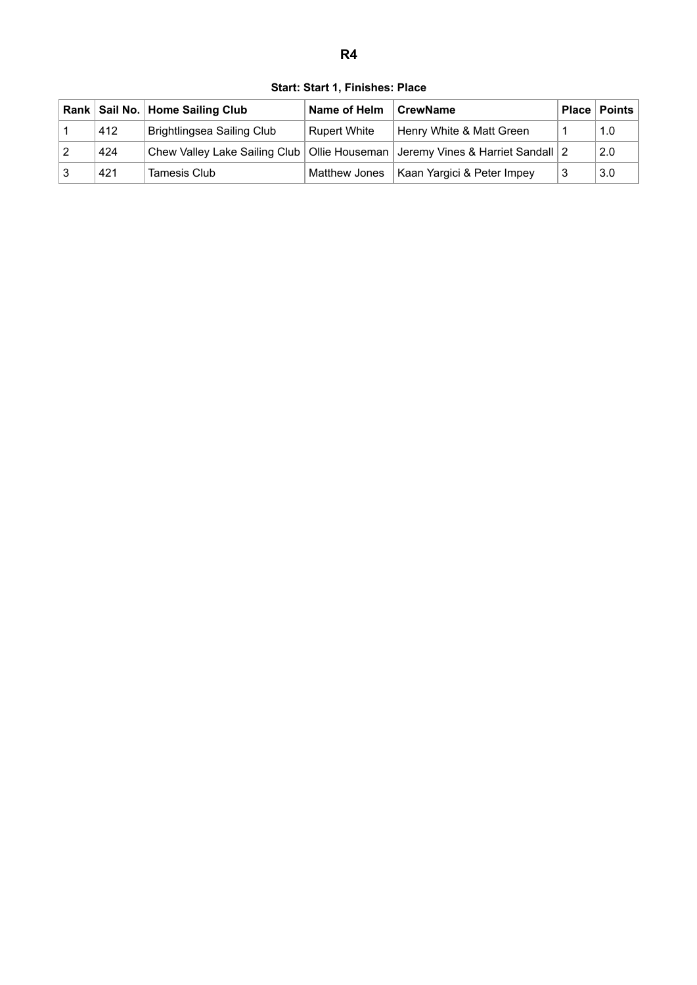<span id="page-4-0"></span>

|    |     | Rank   Sail No.   Home Sailing Club | Name of Helm        | <b>CrewName</b>                                                                     |   | <b>Place   Points</b> |
|----|-----|-------------------------------------|---------------------|-------------------------------------------------------------------------------------|---|-----------------------|
|    | 412 | Brightlingsea Sailing Club          | <b>Rupert White</b> | Henry White & Matt Green                                                            |   | 1.0                   |
| 12 | 424 |                                     |                     | Chew Valley Lake Sailing Club   Ollie Houseman   Jeremy Vines & Harriet Sandall   2 |   | 2.0                   |
| 3  | 421 | Tamesis Club                        |                     | Matthew Jones   Kaan Yargici & Peter Impey                                          | 3 | 3.0                   |

**Start: Start 1, Finishes: Place**